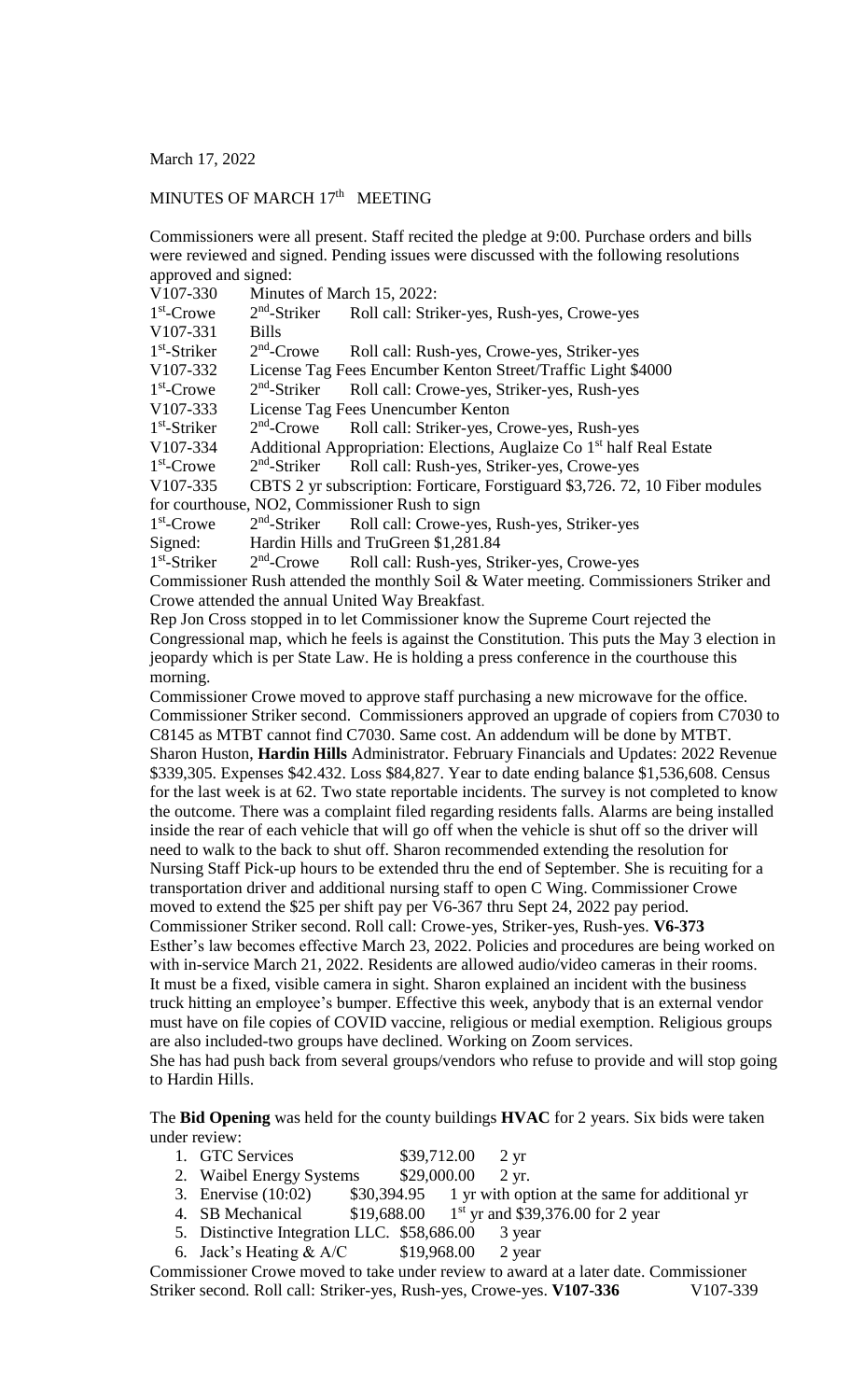March 17, 2022

## MINUTES OF MARCH 17<sup>th</sup> MEETING

Commissioners were all present. Staff recited the pledge at 9:00. Purchase orders and bills were reviewed and signed. Pending issues were discussed with the following resolutions approved and signed:

V107-330 Minutes of March 15, 2022: 1<sup>st</sup>-Crowe 2  $2<sup>nd</sup>$ -Striker Roll call: Striker-yes, Rush-yes, Crowe-yes V107-331 Bills 1 st -Striker 2  $2<sup>nd</sup>$ -Crowe Roll call: Rush-yes, Crowe-yes, Striker-yes V107-332 License Tag Fees Encumber Kenton Street/Traffic Light \$4000 1<sup>st</sup>-Crowe 2  $2<sup>nd</sup>$ -Striker Roll call: Crowe-yes, Striker-yes, Rush-yes V107-333 License Tag Fees Unencumber Kenton 1 st -Striker 2  $2<sup>nd</sup>$ -Crowe Roll call: Striker-yes, Crowe-yes, Rush-yes V107-334 Additional Appropriation: Elections, Auglaize Co  $1<sup>st</sup>$  half Real Estate 1<sup>st</sup>-Crowe 2  $2<sup>nd</sup>$ -Striker Roll call: Rush-yes, Striker-yes, Crowe-yes V107-335 CBTS 2 yr subscription: Forticare, Forstiguard \$3,726. 72, 10 Fiber modules for courthouse, NO2, Commissioner Rush to sign 1<sup>st</sup>-Crowe 2  $2<sup>nd</sup>$ -Striker Roll call: Crowe-yes, Rush-yes, Striker-yes Signed: Hardin Hills and TruGreen \$1,281.84 1 st -Striker 2  $2<sup>nd</sup>$ -Crowe Roll call: Rush-yes, Striker-yes, Crowe-yes

Commissioner Rush attended the monthly Soil & Water meeting. Commissioners Striker and Crowe attended the annual United Way Breakfast.

Rep Jon Cross stopped in to let Commissioner know the Supreme Court rejected the Congressional map, which he feels is against the Constitution. This puts the May 3 election in jeopardy which is per State Law. He is holding a press conference in the courthouse this morning.

Commissioner Crowe moved to approve staff purchasing a new microwave for the office. Commissioner Striker second. Commissioners approved an upgrade of copiers from C7030 to C8145 as MTBT cannot find C7030. Same cost. An addendum will be done by MTBT. Sharon Huston, **Hardin Hills** Administrator. February Financials and Updates: 2022 Revenue \$339,305. Expenses \$42.432. Loss \$84,827. Year to date ending balance \$1,536,608. Census for the last week is at 62. Two state reportable incidents. The survey is not completed to know the outcome. There was a complaint filed regarding residents falls. Alarms are being installed inside the rear of each vehicle that will go off when the vehicle is shut off so the driver will need to walk to the back to shut off. Sharon recommended extending the resolution for Nursing Staff Pick-up hours to be extended thru the end of September. She is recuiting for a transportation driver and additional nursing staff to open C Wing. Commissioner Crowe moved to extend the \$25 per shift pay per V6-367 thru Sept 24, 2022 pay period. Commissioner Striker second. Roll call: Crowe-yes, Striker-yes, Rush-yes. **V6-373** Esther's law becomes effective March 23, 2022. Policies and procedures are being worked on with in-service March 21, 2022. Residents are allowed audio/video cameras in their rooms. It must be a fixed, visible camera in sight. Sharon explained an incident with the business truck hitting an employee's bumper. Effective this week, anybody that is an external vendor must have on file copies of COVID vaccine, religious or medial exemption. Religious groups are also included-two groups have declined. Working on Zoom services. She has had push back from several groups/vendors who refuse to provide and will stop going to Hardin Hills.

The **Bid Opening** was held for the county buildings **HVAC** for 2 years. Six bids were taken under review:

- 1. GTC Services \$39,712.00 2 yr
- 
- 2. Waibel Energy Systems \$29,000.00 2 yr.<br>3. Enervise (10:02) \$30,394.95 1 yr with opt  $$30,394.95$  1 yr with option at the same for additional yr
- 4. SB Mechanical \$19,688.00  $1<sup>st</sup>$  yr and \$39,376.00 for 2 year
- 5. Distinctive Integration LLC. \$58,686.00 3 year
- 6. Jack's Heating  $& A/C$  \$19,968.00 2 year

Commissioner Crowe moved to take under review to award at a later date. Commissioner Striker second. Roll call: Striker-yes, Rush-yes, Crowe-yes. **V107-336** V107-339